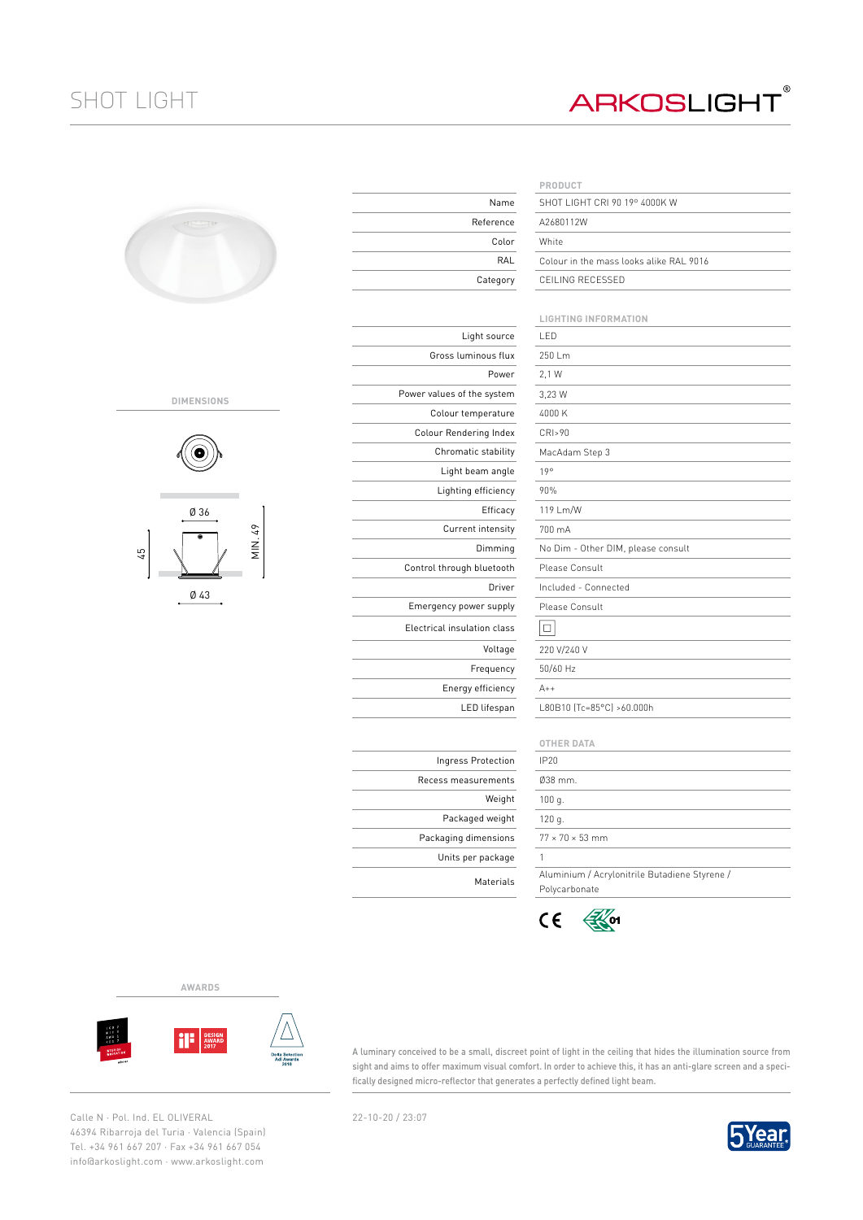## SHOT LIGHT

## **ARKOSLIGHT®**

| ۰ |  |
|---|--|
|   |  |

## **DIMENSIONS**



Ø 43

| Name                        | PRODUCT<br>SHOT LIGHT CRI   |
|-----------------------------|-----------------------------|
| Reference                   | A2680112W                   |
| Color                       | White                       |
| RAL                         | Colour in the ma            |
| Category                    | CEILING RECESS              |
|                             |                             |
|                             | LIGHTING INFOI              |
| Light source                | LED                         |
| Gross luminous flux         | 250 Lm                      |
| Power                       | 2,1 W                       |
| Power values of the system  | 3,23 W                      |
| Colour temperature          | 4000 K                      |
| Colour Rendering Index      | CRI>90                      |
| Chromatic stability         | MacAdam Step 3              |
| Light beam angle            | 19°                         |
| Lighting efficiency         | 90%                         |
| Efficacy                    | 119 Lm/W                    |
| Current intensity           | 700 mA                      |
| Dimming                     | No Dim - Other I            |
| Control through bluetooth   | Please Consult              |
| Driver                      | Included - Conne            |
| Emergency power supply      | Please Consult              |
| Electrical insulation class | □                           |
| Voltage                     | 220 V/240 V                 |
| Frequency                   | 50/60 Hz                    |
| Energy efficiency           | $A++$                       |
| LED lifespan                | L80B10 (Tc=85°C             |
|                             |                             |
|                             | <b>OTHER DATA</b>           |
| Ingress Protection          | IP20                        |
| Recess measurements         | 038 mm.                     |
| Weight                      | 100 g.                      |
| Packaged weight             | 120 g.                      |
| Packaging dimensions        | $77 \times 70 \times 53$ mm |
| Units per package           | 1                           |
| Materials                   | Aluminium / Acr             |

|           | PRODUCT                                 |
|-----------|-----------------------------------------|
| Name      | SHOT LIGHT CRL90 19º 4000K W            |
| 'eference | A2680112W                               |
| Color     | White                                   |
| RAL       | Colour in the mass looks alike RAL 9016 |
| Category  | CEILING RECESSED                        |
|           |                                         |

|                | <b>LIGHTING INFORMATION</b>                                    |
|----------------|----------------------------------------------------------------|
| Light source   | I FD                                                           |
| uminous flux   | 250 Lm                                                         |
| Power          | 2.1 W                                                          |
| of the system  | 3,23 W                                                         |
| temperature    | 4000 K                                                         |
| ıdering Index  | CRI>90                                                         |
| atic stability | MacAdam Step 3                                                 |
| t beam angle   | 19°                                                            |
| ing efficiency | 90%                                                            |
| Efficacy       | 119 Lm/W                                                       |
| rent intensity | 700 mA                                                         |
| Dimming        | No Dim - Other DIM, please consult                             |
| gh bluetooth   | Please Consult                                                 |
| Driver         | Included - Connected                                           |
| power supply   | Please Consult                                                 |
| ulation class  | □                                                              |
| Voltage        | 220 V/240 V                                                    |
| Frequency      | 50/60 Hz                                                       |
| rgy efficiency | $A++$                                                          |
| LED lifespan   | L80B10 (Tc=85°C) >60.000h                                      |
|                |                                                                |
|                | <b>OTHER DATA</b>                                              |
| ss Protection  | <b>IP20</b>                                                    |
| easurements    | 038 mm.                                                        |
| Weight         | 100q.                                                          |
| kaged weight   | 120 g.                                                         |
| a dimensions   | $77 \times 70 \times 53$ mm                                    |
| per package    | 1                                                              |
| Materials      | Aluminium / Acrylonitrile Butadiene Styrene /<br>Polycarbonate |

 $C \in$  $\mathbb{R}$  of

**AWARDS**



A luminary conceived to be a small, discreet point of light in the ceiling that hides the illumination source from sight and aims to offer maximum visual comfort. In order to achieve this, it has an anti-glare screen and a specifically designed micro-reflector that generates a perfectly defined light beam.

Calle N · Pol. Ind. EL OLIVERAL 22-10-20 / 23:07 46394 Ribarroja del Turia · Valencia (Spain) Tel. +34 961 667 207 · Fax +34 961 667 054 info@arkoslight.com · www.arkoslight.com